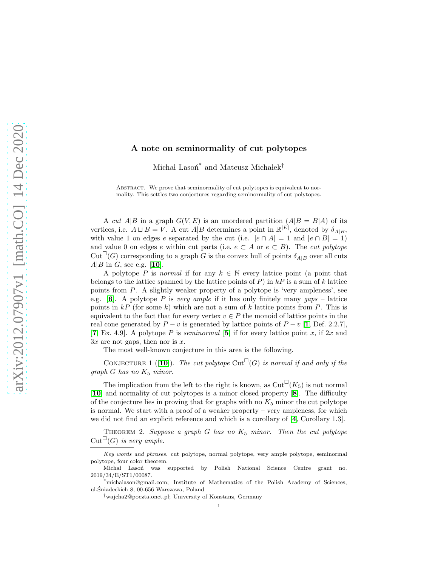## A note on seminormality of cut polytopes

Michał Lasoń $^*$  and Mateusz Michałek $^{\dagger}$ 

ABSTRACT. We prove that seminormality of cut polytopes is equivalent to normality. This settles two conjectures regarding seminormality of cut polytopes.

A cut A|B in a graph  $G(V, E)$  is an unordered partition  $(A|B = B|A)$  of its vertices, i.e.  $A \sqcup B = V$ . A cut  $A|B$  determines a point in  $\mathbb{R}^{|E|}$ , denoted by  $\delta_{A|B}$ , with value 1 on edges e separated by the cut (i.e.  $|e \cap A| = 1$  and  $|e \cap B| = 1$ ) and value 0 on edges e within cut parts (i.e.  $e \subset A$  or  $e \subset B$ ). The *cut polytope*  $Cut^{\square}(G)$  corresponding to a graph G is the convex hull of points  $\delta_{A|B}$  over all cuts  $A|B$  in G, see e.g. [[10](#page-2-0)].

A polytope P is normal if for any  $k \in \mathbb{N}$  every lattice point (a point that belongs to the lattice spanned by the lattice points of  $P$ ) in  $kP$  is a sum of k lattice points from P. A slightly weaker property of a polytope is 'very ampleness', see e.g.  $[6]$  $[6]$  $[6]$ . A polytope P is very ample if it has only finitely many gaps – lattice points in  $kP$  (for some k) which are not a sum of k lattice points from P. This is equivalent to the fact that for every vertex  $v \in P$  the monoid of lattice points in the real cone generated by  $P - v$  is generated by lattice points of  $P - v$  [[1](#page-2-2), Def. 2.2.7], [[7](#page-2-3), Ex. 4.9]. A polytope P is *seminormal* [[5](#page-2-4)] if for every lattice point x, if 2x and  $3x$  are not gaps, then nor is x.

The most well-known conjecture in this area is the following.

<span id="page-0-1"></span>CONJECTURE 1 ([[10](#page-2-0)]). The cut polytope Cut<sup> $\Box$ </sup>(G) is normal if and only if the  $graph\ G\ has\ no\ K_5\ minor.$ 

The implication from the left to the right is known, as  $\mathrm{Cut}^{\square}(K_5)$  is not normal [[10](#page-2-0)] and normality of cut polytopes is a minor closed property [[8](#page-2-5)]. The difficulty of the conjecture lies in proving that for graphs with no  $K_5$  minor the cut polytope is normal. We start with a proof of a weaker property – very ampleness, for which we did not find an explicit reference and which is a corollary of [[4](#page-2-6), Corollary 1.3].

<span id="page-0-0"></span>THEOREM 2. Suppose a graph  $G$  has no  $K_5$  minor. Then the cut polytope  $Cut^{\square}(G)$  is very ample.

Key words and phrases. cut polytope, normal polytope, very ample polytope, seminormal polytope, four color theorem.

Michał Lasoń was supported by Polish National Science Centre grant no. 2019/34/E/ST1/00087.

<sup>\*</sup>michalason@gmail.com; Institute of Mathematics of the Polish Academy of Sciences, ul.Sniadeckich 8, 00-656 Warszawa, Poland ´

<sup>†</sup>wajcha2@poczta.onet.pl; University of Konstanz, Germany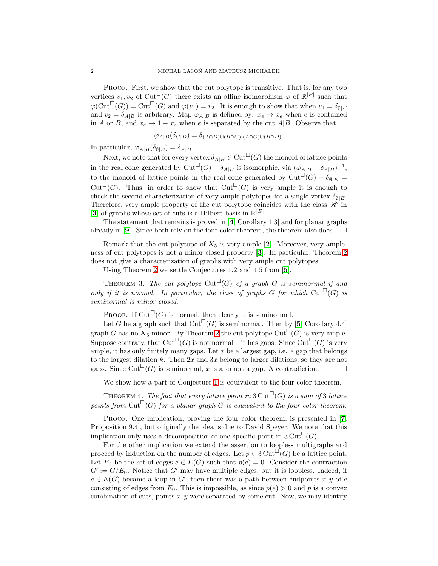PROOF. First, we show that the cut polytope is transitive. That is, for any two vertices  $v_1, v_2$  of  $\mathrm{Cut}^{\square}(G)$  there exists an affine isomorphism  $\varphi$  of  $\mathbb{R}^{|E|}$  such that  $\varphi(\mathrm{Cut}^{\square}(G)) = \mathrm{Cut}^{\square}(G)$  and  $\varphi(v_1) = v_2$ . It is enough to show that when  $v_1 = \delta_{\emptyset|E}$ and  $v_2 = \delta_{A|B}$  is arbitrary. Map  $\varphi_{A|B}$  is defined by:  $x_e \to x_e$  when e is contained in A or B, and  $x_e \rightarrow 1-x_e$  when e is separated by the cut A|B. Observe that

$$
\varphi_{A|B}(\delta_{C|D}) = \delta_{(A \cap D) \cup (B \cap C)|(A \cap C) \cup (B \cap D)}.
$$

In particular,  $\varphi_{A|B}(\delta_{\emptyset|E}) = \delta_{A|B}$ .

Next, we note that for every vertex  $\delta_{A|B}\in \mathrm{Cut}^{\square}(G)$  the monoid of lattice points in the real cone generated by Cut<sup> $\Box$ </sup> $(G) - \delta_{A|B}$  is isomorphic, via  $(\varphi_{A|B} - \delta_{A|B})^{-1}$ , to the monoid of lattice points in the real cone generated by  $\text{Cut}^{\square}(G) - \delta_{\emptyset|E} =$ Cut<sup> $\Box$ </sup>(G). Thus, in order to show that Cut<sup> $\Box$ </sup>(G) is very ample it is enough to check the second characterization of very ample polytopes for a single vertex  $\delta_{\theta|E}$ . Therefore, very ample property of the cut polytope coincides with the class  $\mathscr{H}$  in [[3](#page-2-7)] of graphs whose set of cuts is a Hilbert basis in  $\mathbb{R}^{|E|}$ .

The statement that remains is proved in [[4](#page-2-6), Corollary 1.3] and for planar graphs already in [[9](#page-2-8)]. Since both rely on the four color theorem, the theorem also does.  $\Box$ 

Remark that the cut polytope of  $K_5$  is very ample [[2](#page-2-9)]. Moreover, very ampleness of cut polytopes is not a minor closed property [[3](#page-2-7)]. In particular, Theorem [2](#page-0-0) does not give a characterization of graphs with very ample cut polytopes.

Using Theorem [2](#page-0-0) we settle Conjectures 1.2 and 4.5 from [[5](#page-2-4)].

THEOREM 3. The cut polytope Cut<sup> $\Box$ </sup>(G) of a graph G is seminormal if and only if it is normal. In particular, the class of graphs G for which  $\mathrm{Cut}^{\square}(G)$  is seminormal is minor closed.

PROOF. If  $Cut^{\square}(G)$  is normal, then clearly it is seminormal.

Let G be a graph such that  $Cut^{\square}(G)$  is seminormal. Then by [[5](#page-2-4), Corollary 4.4] graph G has no  $K_5$  minor. By Theorem [2](#page-0-0) the cut polytope  $Cut^{\square}(G)$  is very ample. Suppose contrary, that  $Cut^{\square}(G)$  is not normal – it has gaps. Since  $Cut^{\square}(G)$  is very ample, it has only finitely many gaps. Let  $x$  be a largest gap, i.e. a gap that belongs to the largest dilation k. Then  $2x$  and  $3x$  belong to larger dilations, so they are not gaps. Since Cut<sup> $\bigcup_{i=1}^{\infty} G(i)$  is seminormal, x is also not a gap. A contradiction.</sup>

We show how a part of Conjecture [1](#page-0-1) is equivalent to the four color theorem.

<span id="page-1-0"></span>THEOREM 4. The fact that every lattice point in  $3\mathrm{Cut}^{\square}(G)$  is a sum of 3 lattice points from Cut<sup> $\Box$ </sup>(G) for a planar graph G is equivalent to the four color theorem.

PROOF. One implication, proving the four color theorem, is presented in [[7](#page-2-3), Proposition 9.4], but originally the idea is due to David Speyer. We note that this implication only uses a decomposition of one specific point in  $3\mathrm{Cut}^{\square}(G)$ .

For the other implication we extend the assertion to loopless multigraphs and proceed by induction on the number of edges. Let  $p \in 3 \text{Cut}^{\square}(G)$  be a lattice point. Let  $E_0$  be the set of edges  $e \in E(G)$  such that  $p(e) = 0$ . Consider the contraction  $G' := G/E_0$ . Notice that  $G'$  may have multiple edges, but it is loopless. Indeed, if  $e \in E(G)$  became a loop in G', then there was a path between endpoints  $x, y$  of e consisting of edges from  $E_0$ . This is impossible, as since  $p(e) > 0$  and p is a convex combination of cuts, points  $x, y$  were separated by some cut. Now, we may identify